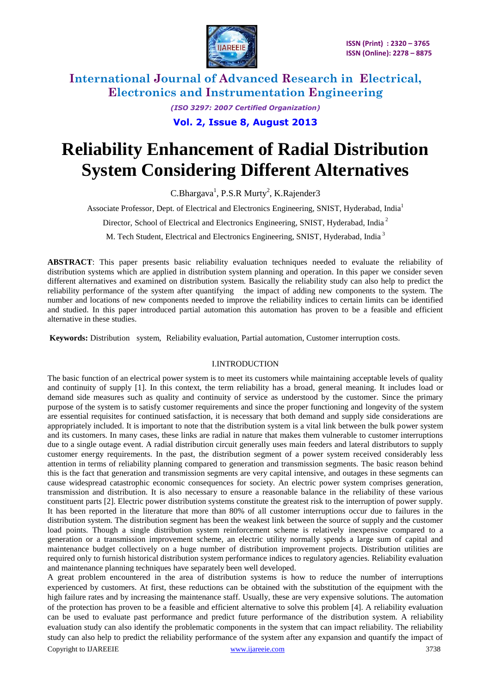

> *(ISO 3297: 2007 Certified Organization)* **Vol. 2, Issue 8, August 2013**

# **Reliability Enhancement of Radial Distribution System Considering Different Alternatives**

C.Bhargava<sup>1</sup>, P.S.R Murty<sup>2</sup>, K.Rajender3

Associate Professor, Dept. of Electrical and Electronics Engineering, SNIST, Hyderabad, India<sup>1</sup>

Director, School of Electrical and Electronics Engineering, SNIST, Hyderabad, India <sup>2</sup>

M. Tech Student, Electrical and Electronics Engineering, SNIST, Hyderabad, India <sup>3</sup>

**ABSTRACT**: This paper presents basic reliability evaluation techniques needed to evaluate the reliability of distribution systems which are applied in distribution system planning and operation. In this paper we consider seven different alternatives and examined on distribution system. Basically the reliability study can also help to predict the reliability performance of the system after quantifying the impact of adding new components to the system. The number and locations of new components needed to improve the reliability indices to certain limits can be identified and studied. In this paper introduced partial automation this automation has proven to be a feasible and efficient alternative in these studies.

**Keywords:** Distribution system, Reliability evaluation, Partial automation, Customer interruption costs.

### I.INTRODUCTION

The basic function of an electrical power system is to meet its customers while maintaining acceptable levels of quality and continuity of supply [1]. In this context, the term reliability has a broad, general meaning. It includes load or demand side measures such as quality and continuity of service as understood by the customer. Since the primary purpose of the system is to satisfy customer requirements and since the proper functioning and longevity of the system are essential requisites for continued satisfaction, it is necessary that both demand and supply side considerations are appropriately included. It is important to note that the distribution system is a vital link between the bulk power system and its customers. In many cases, these links are radial in nature that makes them vulnerable to customer interruptions due to a single outage event. A radial distribution circuit generally uses main feeders and lateral distributors to supply customer energy requirements. In the past, the distribution segment of a power system received considerably less attention in terms of reliability planning compared to generation and transmission segments. The basic reason behind this is the fact that generation and transmission segments are very capital intensive, and outages in these segments can cause widespread catastrophic economic consequences for society. An electric power system comprises generation, transmission and distribution. It is also necessary to ensure a reasonable balance in the reliability of these various constituent parts [2]. Electric power distribution systems constitute the greatest risk to the interruption of power supply. It has been reported in the literature that more than 80% of all customer interruptions occur due to failures in the distribution system. The distribution segment has been the weakest link between the source of supply and the customer load points. Though a single distribution system reinforcement scheme is relatively inexpensive compared to a generation or a transmission improvement scheme, an electric utility normally spends a large sum of capital and maintenance budget collectively on a huge number of distribution improvement projects. Distribution utilities are required only to furnish historical distribution system performance indices to regulatory agencies. Reliability evaluation and maintenance planning techniques have separately been well developed.

A great problem encountered in the area of distribution systems is how to reduce the number of interruptions experienced by customers. At first, these reductions can be obtained with the substitution of the equipment with the high failure rates and by increasing the maintenance staff. Usually, these are very expensive solutions. The automation of the protection has proven to be a feasible and efficient alternative to solve this problem [4]. A reliability evaluation can be used to evaluate past performance and predict future performance of the distribution system. A reliability evaluation study can also identify the problematic components in the system that can impact reliability. The reliability study can also help to predict the reliability performance of the system after any expansion and quantify the impact of

Copyright to IJAREEIE [www.ijareeie.com](http://www.ijareeie.com/) 3738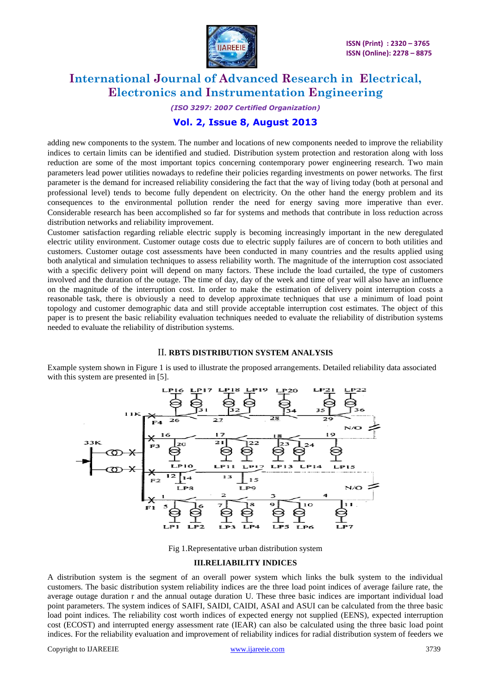

*(ISO 3297: 2007 Certified Organization)*

### **Vol. 2, Issue 8, August 2013**

adding new components to the system. The number and locations of new components needed to improve the reliability indices to certain limits can be identified and studied. Distribution system protection and restoration along with loss reduction are some of the most important topics concerning contemporary power engineering research. Two main parameters lead power utilities nowadays to redefine their policies regarding investments on power networks. The first parameter is the demand for increased reliability considering the fact that the way of living today (both at personal and professional level) tends to become fully dependent on electricity. On the other hand the energy problem and its consequences to the environmental pollution render the need for energy saving more imperative than ever. Considerable research has been accomplished so far for systems and methods that contribute in loss reduction across distribution networks and reliability improvement.

Customer satisfaction regarding reliable electric supply is becoming increasingly important in the new deregulated electric utility environment. Customer outage costs due to electric supply failures are of concern to both utilities and customers. Customer outage cost assessments have been conducted in many countries and the results applied using both analytical and simulation techniques to assess reliability worth. The magnitude of the interruption cost associated with a specific delivery point will depend on many factors. These include the load curtailed, the type of customers involved and the duration of the outage. The time of day, day of the week and time of year will also have an influence on the magnitude of the interruption cost. In order to make the estimation of delivery point interruption costs a reasonable task, there is obviously a need to develop approximate techniques that use a minimum of load point topology and customer demographic data and still provide acceptable interruption cost estimates. The object of this paper is to present the basic reliability evaluation techniques needed to evaluate the reliability of distribution systems needed to evaluate the reliability of distribution systems.

### II. **RBTS DISTRIBUTION SYSTEM ANALYSIS**

Example system shown in Figure 1 is used to illustrate the proposed arrangements. Detailed reliability data associated with this system are presented in [5].



Fig 1.Representative urban distribution system

### **III.RELIABILITY INDICES**

A distribution system is the segment of an overall power system which links the bulk system to the individual customers. The basic distribution system reliability indices are the three load point indices of average failure rate, the average outage duration r and the annual outage duration U. These three basic indices are important individual load point parameters. The system indices of SAIFI, SAIDI, CAIDI, ASAI and ASUI can be calculated from the three basic load point indices. The reliability cost worth indices of expected energy not supplied (EENS), expected interruption cost (ECOST) and interrupted energy assessment rate (IEAR) can also be calculated using the three basic load point indices. For the reliability evaluation and improvement of reliability indices for radial distribution system of feeders we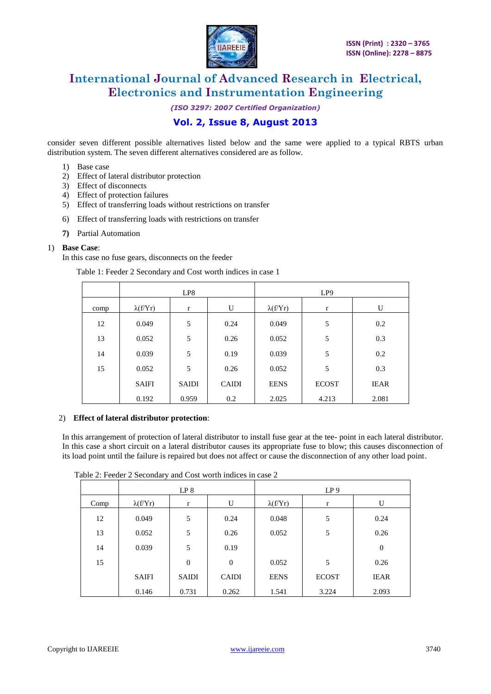

*(ISO 3297: 2007 Certified Organization)*

### **Vol. 2, Issue 8, August 2013**

consider seven different possible alternatives listed below and the same were applied to a typical RBTS urban distribution system. The seven different alternatives considered are as follow.

- 1) Base case
- 2) Effect of lateral distributor protection
- 3) Effect of disconnects
- 4) Effect of protection failures
- 5) Effect of transferring loads without restrictions on transfer
- 6) Effect of transferring loads with restrictions on transfer
- **7)** Partial Automation

#### 1) **Base Case**:

In this case no fuse gears, disconnects on the feeder

Table 1: Feeder 2 Secondary and Cost worth indices in case 1

|      |                 | LP8          |              | LP <sub>9</sub> |              |             |  |
|------|-----------------|--------------|--------------|-----------------|--------------|-------------|--|
| comp | $\lambda(f/Yr)$ | $\mathbf r$  | U            | $\lambda(f/Yr)$ | $\mathbf{r}$ | U           |  |
| 12   | 0.049           | 5            | 0.24         | 0.049           | 5            | 0.2         |  |
| 13   | 0.052           | 5            | 0.26         | 0.052           | 5            | 0.3         |  |
| 14   | 0.039           | 5            | 0.19         | 0.039           | 5            | 0.2         |  |
| 15   | 0.052           | 5            | 0.26         | 0.052           | 5            | 0.3         |  |
|      | <b>SAIFI</b>    | <b>SAIDI</b> | <b>CAIDI</b> | <b>EENS</b>     | <b>ECOST</b> | <b>IEAR</b> |  |
|      | 0.192           | 0.959        | 0.2          | 2.025           | 4.213        | 2.081       |  |

#### 2) **Effect of lateral distributor protection**:

In this arrangement of protection of lateral distributor to install fuse gear at the tee- point in each lateral distributor. In this case a short circuit on a lateral distributor causes its appropriate fuse to blow; this causes disconnection of its load point until the failure is repaired but does not affect or cause the disconnection of any other load point.

|      |                 | LP <sub>8</sub>  |              | LP <sub>9</sub> |              |                |  |
|------|-----------------|------------------|--------------|-----------------|--------------|----------------|--|
| Comp | $\lambda(f/Yr)$ | $\mathbf{r}$     | U            | $\lambda(f/Yr)$ | $\mathbf{r}$ | U              |  |
| 12   | 0.049           | 5                | 0.24         | 0.048           | 5            | 0.24           |  |
| 13   | 0.052           | 5                | 0.26         | 0.052           | 5            | 0.26           |  |
| 14   | 0.039           | 5                | 0.19         |                 |              | $\overline{0}$ |  |
| 15   |                 | $\boldsymbol{0}$ | $\mathbf{0}$ | 0.052           | 5            | 0.26           |  |
|      | <b>SAIFI</b>    | SAIDI            | <b>CAIDI</b> | <b>EENS</b>     | <b>ECOST</b> | <b>IEAR</b>    |  |
|      | 0.146           | 0.731            | 0.262        | 1.541           | 3.224        | 2.093          |  |

Table 2: Feeder 2 Secondary and Cost worth indices in case 2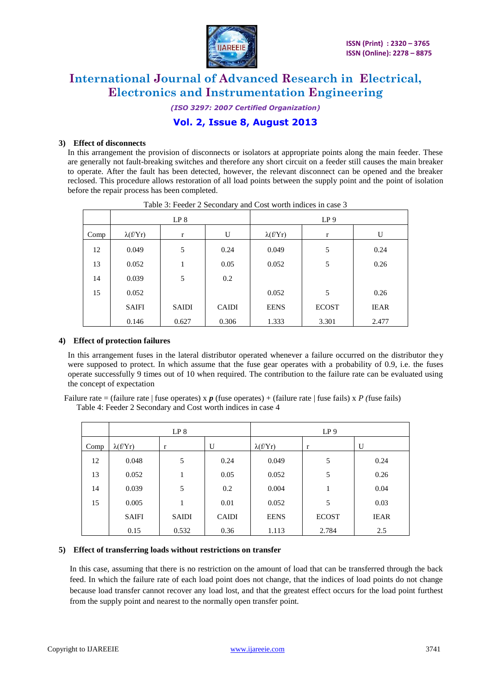

*(ISO 3297: 2007 Certified Organization)*

### **Vol. 2, Issue 8, August 2013**

### **3) Effect of disconnects**

In this arrangement the provision of disconnects or isolators at appropriate points along the main feeder. These are generally not fault-breaking switches and therefore any short circuit on a feeder still causes the main breaker to operate. After the fault has been detected, however, the relevant disconnect can be opened and the breaker reclosed. This procedure allows restoration of all load points between the supply point and the point of isolation before the repair process has been completed.

|      |                 | LP 8         |              | LP <sub>9</sub> |              |             |  |
|------|-----------------|--------------|--------------|-----------------|--------------|-------------|--|
| Comp | $\lambda(f/Yr)$ | r            | U            | $\lambda(f/Yr)$ | $\mathbf r$  | U           |  |
| 12   | 0.049           | 5            | 0.24         | 0.049           | 5            | 0.24        |  |
| 13   | 0.052           | 1            | 0.05         | 0.052           | 5            | 0.26        |  |
| 14   | 0.039           | 5            | 0.2          |                 |              |             |  |
| 15   | 0.052           |              |              | 0.052           | 5            | 0.26        |  |
|      | <b>SAIFI</b>    | <b>SAIDI</b> | <b>CAIDI</b> | <b>EENS</b>     | <b>ECOST</b> | <b>IEAR</b> |  |
|      | 0.146           | 0.627        | 0.306        | 1.333           | 3.301        | 2.477       |  |

Table 3: Feeder 2 Secondary and Cost worth indices in case 3

#### **4) Effect of protection failures**

In this arrangement fuses in the lateral distributor operated whenever a failure occurred on the distributor they were supposed to protect. In which assume that the fuse gear operates with a probability of 0.9, i.e. the fuses operate successfully 9 times out of 10 when required. The contribution to the failure rate can be evaluated using the concept of expectation

| Failure rate = (failure rate   fuse operates) x $p$ (fuse operates) + (failure rate   fuse fails) x P (fuse fails) |  |
|--------------------------------------------------------------------------------------------------------------------|--|
| Table 4: Feeder 2 Secondary and Cost worth indices in case 4                                                       |  |

|      | LP <sub>8</sub> |              |              | LP <sub>9</sub> |              |             |  |
|------|-----------------|--------------|--------------|-----------------|--------------|-------------|--|
| Comp | $\lambda(f/Yr)$ | $\mathbf r$  | U            | $\lambda(f/Yr)$ | $\mathbf{r}$ | U           |  |
| 12   | 0.048           | 5            | 0.24         | 0.049           | 5            | 0.24        |  |
| 13   | 0.052           |              | 0.05         | 0.052           | 5            | 0.26        |  |
| 14   | 0.039           | 5            | 0.2          | 0.004           | 1            | 0.04        |  |
| 15   | 0.005           |              | 0.01         | 0.052           | 5            | 0.03        |  |
|      | <b>SAIFI</b>    | <b>SAIDI</b> | <b>CAIDI</b> | <b>EENS</b>     | <b>ECOST</b> | <b>IEAR</b> |  |
|      | 0.15            | 0.532        | 0.36         | 1.113           | 2.784        | 2.5         |  |

#### **5) Effect of transferring loads without restrictions on transfer**

In this case, assuming that there is no restriction on the amount of load that can be transferred through the back feed. In which the failure rate of each load point does not change, that the indices of load points do not change because load transfer cannot recover any load lost, and that the greatest effect occurs for the load point furthest from the supply point and nearest to the normally open transfer point.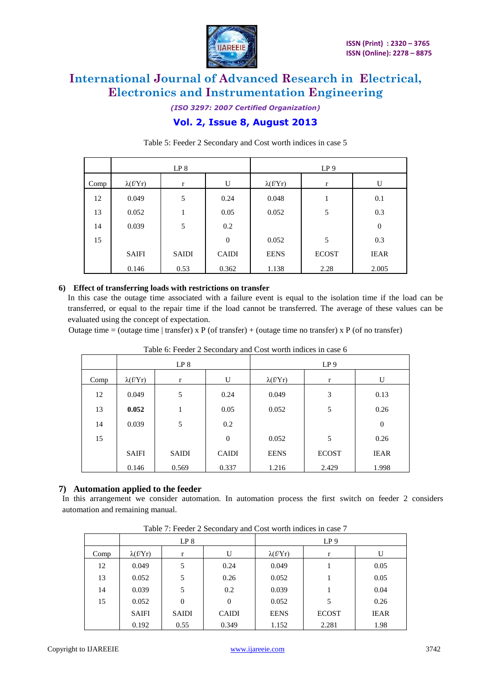

*(ISO 3297: 2007 Certified Organization)*

### **Vol. 2, Issue 8, August 2013**

|      |                 | LP <sub>8</sub> |              | LP <sub>9</sub> |              |                  |  |
|------|-----------------|-----------------|--------------|-----------------|--------------|------------------|--|
| Comp | $\lambda(f/Yr)$ | r               | U            | $\lambda(f/Yr)$ | r            | U                |  |
| 12   | 0.049           | 5               | 0.24         | 0.048           | 1            | 0.1              |  |
| 13   | 0.052           |                 | 0.05         | 0.052           | 5            | 0.3              |  |
| 14   | 0.039           | 5               | 0.2          |                 |              | $\boldsymbol{0}$ |  |
| 15   |                 |                 | $\theta$     | 0.052           | 5            | 0.3              |  |
|      | <b>SAIFI</b>    | <b>SAIDI</b>    | <b>CAIDI</b> | <b>EENS</b>     | <b>ECOST</b> | <b>IEAR</b>      |  |
|      | 0.146           | 0.53            | 0.362        | 1.138           | 2.28         | 2.005            |  |

Table 5: Feeder 2 Secondary and Cost worth indices in case 5

### **6) Effect of transferring loads with restrictions on transfer**

In this case the outage time associated with a failure event is equal to the isolation time if the load can be transferred, or equal to the repair time if the load cannot be transferred. The average of these values can be evaluated using the concept of expectation.

Outage time = (outage time | transfer) x P (of transfer) + (outage time no transfer) x P (of no transfer)

|      | Tuble 0. I ceaer 2 Becondary and Cost worth male in ease o |              |              |                 |              |             |  |  |  |  |  |
|------|------------------------------------------------------------|--------------|--------------|-----------------|--------------|-------------|--|--|--|--|--|
|      |                                                            | LP 8         |              | LP <sub>9</sub> |              |             |  |  |  |  |  |
| Comp | $\lambda(f/Yr)$                                            | $\mathbf r$  | U            | $\lambda(f/Yr)$ | $\mathbf{r}$ | U           |  |  |  |  |  |
| 12   | 0.049                                                      | 5            | 0.24         | 0.049           | 3            | 0.13        |  |  |  |  |  |
| 13   | 0.052                                                      | 1            | 0.05         | 0.052           | 5            | 0.26        |  |  |  |  |  |
| 14   | 0.039                                                      | 5            | 0.2          |                 |              | $\theta$    |  |  |  |  |  |
| 15   |                                                            |              | $\theta$     | 0.052           | 5            | 0.26        |  |  |  |  |  |
|      | <b>SAIFI</b>                                               | <b>SAIDI</b> | <b>CAIDI</b> | <b>EENS</b>     | <b>ECOST</b> | <b>IEAR</b> |  |  |  |  |  |
|      | 0.146                                                      | 0.569        | 0.337        | 1.216           | 2.429        | 1.998       |  |  |  |  |  |

Table 6: Feeder 2 Secondary and Cost worth indices in case 6

### **7) Automation applied to the feeder**

In this arrangement we consider automation. In automation process the first switch on feeder 2 considers automation and remaining manual.

| Table 7. Feeder 2 Secondary and Cost worth maters in ease 7 |                 |              |              |                 |              |             |  |  |  |
|-------------------------------------------------------------|-----------------|--------------|--------------|-----------------|--------------|-------------|--|--|--|
|                                                             | LP <sub>8</sub> |              |              | LP <sub>9</sub> |              |             |  |  |  |
| Comp                                                        | $\lambda(f/Yr)$ | U<br>r       |              | $\lambda(f/Yr)$ |              | U           |  |  |  |
| 12                                                          | 0.049           | 5            | 0.24         | 0.049           |              | 0.05        |  |  |  |
| 13                                                          | 0.052           | 5            | 0.26         | 0.052           |              | 0.05        |  |  |  |
| 14                                                          | 0.039           | 5            | 0.2          | 0.039           |              | 0.04        |  |  |  |
| 15                                                          | 0.052           | $\Omega$     | $\Omega$     | 0.052           | 5            | 0.26        |  |  |  |
|                                                             | <b>SAIFI</b>    | <b>SAIDI</b> | <b>CAIDI</b> | <b>EENS</b>     | <b>ECOST</b> | <b>IEAR</b> |  |  |  |
|                                                             | 0.192           | 0.55         | 0.349        | 1.152           | 2.281        | 1.98        |  |  |  |

Table 7: Feeder 2 Secondary and Cost worth indices in case 7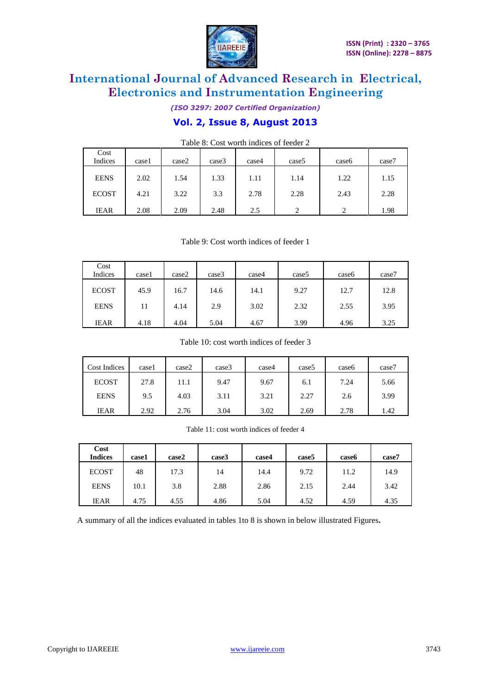

*(ISO 3297: 2007 Certified Organization)* **Vol. 2, Issue 8, August 2013**

| Cost<br>Indices | casel | case2 | case3 | case4 | case <sub>5</sub> | case <sub>6</sub> | case7 |
|-----------------|-------|-------|-------|-------|-------------------|-------------------|-------|
| <b>EENS</b>     | 2.02  | 1.54  | 1.33  | 1.11  | 1.14              | 1.22              | 1.15  |
| <b>ECOST</b>    | 4.21  | 3.22  | 3.3   | 2.78  | 2.28              | 2.43              | 2.28  |
| <b>IEAR</b>     | 2.08  | 2.09  | 2.48  | 2.5   | $\gamma$          | $\mathcal{D}$     | 1.98  |

Table 8: Cost worth indices of feeder 2

Table 9: Cost worth indices of feeder 1

| Cost<br>Indices | casel | case2 | case3 | case4 | case <sub>5</sub> | case <sub>6</sub> | case7 |
|-----------------|-------|-------|-------|-------|-------------------|-------------------|-------|
| <b>ECOST</b>    | 45.9  | 16.7  | 14.6  | 14.1  | 9.27              | 12.7              | 12.8  |
| <b>EENS</b>     | 11    | 4.14  | 2.9   | 3.02  | 2.32              | 2.55              | 3.95  |
| <b>IEAR</b>     | 4.18  | 4.04  | 5.04  | 4.67  | 3.99              | 4.96              | 3.25  |

Table 10: cost worth indices of feeder 3

| Cost Indices | case1 | case2 | case3 | case4 | case <sub>5</sub> | case <sub>6</sub> | case7 |
|--------------|-------|-------|-------|-------|-------------------|-------------------|-------|
| <b>ECOST</b> | 27.8  | 11.1  | 9.47  | 9.67  | 6.1               | 7.24              | 5.66  |
| <b>EENS</b>  | 9.5   | 4.03  | 3.11  | 3.21  | 2.27              | 2.6               | 3.99  |
| <b>IEAR</b>  | 2.92  | 2.76  | 3.04  | 3.02  | 2.69              | 2.78              | 1.42  |

Table 11: cost worth indices of feeder 4

| Cost<br><b>Indices</b> | case1 | case2 | case3 | case4 | case <sub>5</sub> | case6 | case7 |
|------------------------|-------|-------|-------|-------|-------------------|-------|-------|
| <b>ECOST</b>           | 48    | 17.3  | 14    | 14.4  | 9.72              | 11.2  | 14.9  |
| <b>EENS</b>            | 10.1  | 3.8   | 2.88  | 2.86  | 2.15              | 2.44  | 3.42  |
| <b>IEAR</b>            | 4.75  | 4.55  | 4.86  | 5.04  | 4.52              | 4.59  | 4.35  |

A summary of all the indices evaluated in tables 1to 8 is shown in below illustrated Figures**.**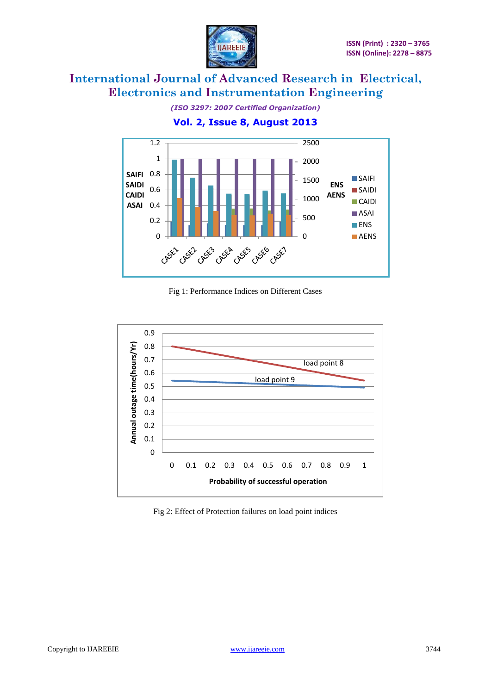

*(ISO 3297: 2007 Certified Organization)* **Vol. 2, Issue 8, August 2013**



Fig 1: Performance Indices on Different Cases



Fig 2: Effect of Protection failures on load point indices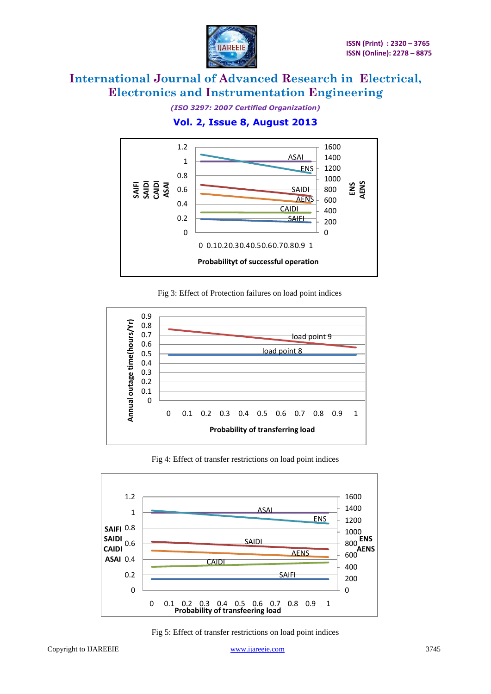

*(ISO 3297: 2007 Certified Organization)*

### **Vol. 2, Issue 8, August 2013**



Fig 3: Effect of Protection failures on load point indices



Fig 4: Effect of transfer restrictions on load point indices



Fig 5: Effect of transfer restrictions on load point indices